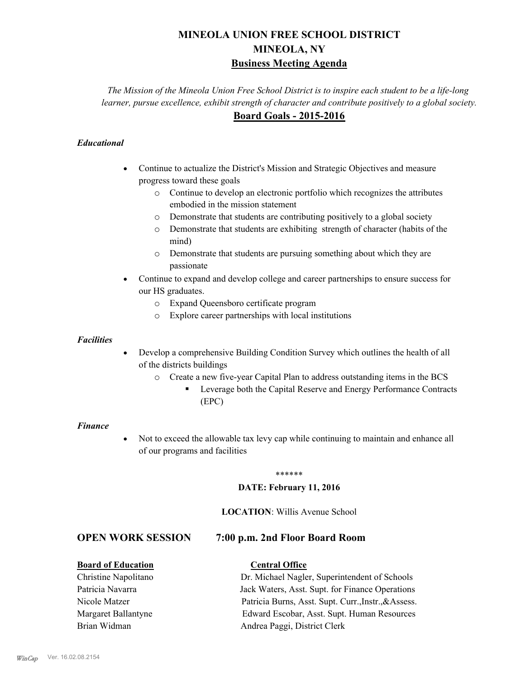# **MINEOLA UNION FREE SCHOOL DISTRICT MINEOLA, NY Business Meeting Agenda**

*The Mission of the Mineola Union Free School District is to inspire each student to be a life-long learner, pursue excellence, exhibit strength of character and contribute positively to a global society.* **Board Goals - 2015-2016**

## *Educational*

- · Continue to actualize the District's Mission and Strategic Objectives and measure progress toward these goals
	- o Continue to develop an electronic portfolio which recognizes the attributes embodied in the mission statement
	- o Demonstrate that students are contributing positively to a global society
	- o Demonstrate that students are exhibiting strength of character (habits of the mind)
	- o Demonstrate that students are pursuing something about which they are passionate
- Continue to expand and develop college and career partnerships to ensure success for our HS graduates.
	- o Expand Queensboro certificate program
	- o Explore career partnerships with local institutions

#### *Facilities*

- Develop a comprehensive Building Condition Survey which outlines the health of all of the districts buildings
	- o Create a new five-year Capital Plan to address outstanding items in the BCS
		- § Leverage both the Capital Reserve and Energy Performance Contracts (EPC)

#### *Finance*

• Not to exceed the allowable tax levy cap while continuing to maintain and enhance all of our programs and facilities

#### \*\*\*\*\*\*

#### **DATE: February 11, 2016**

#### **LOCATION**: Willis Avenue School

# **OPEN WORK SESSION 7:00 p.m. 2nd Floor Board Room**

### **Board of Education Central Office**

Christine Napolitano Dr. Michael Nagler, Superintendent of Schools Patricia Navarra Jack Waters, Asst. Supt. for Finance Operations Nicole Matzer Patricia Burns, Asst. Supt. Curr.,Instr.,&Assess. Margaret Ballantyne Edward Escobar, Asst. Supt. Human Resources Brian Widman **Andrea Paggi, District Clerk**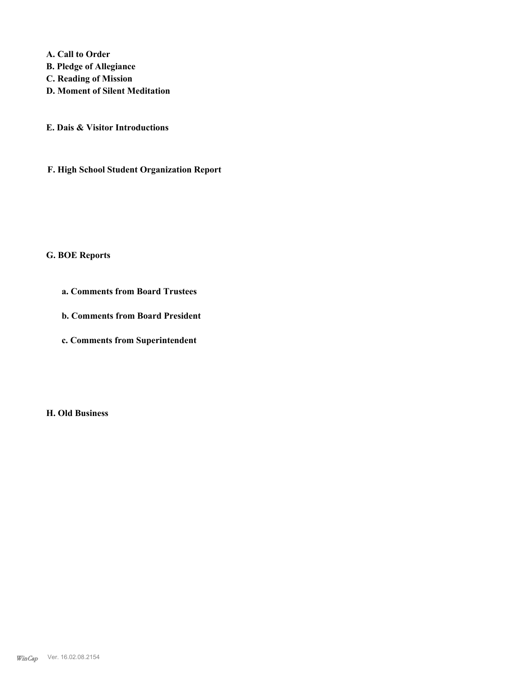**A. Call to Order B. Pledge of Allegiance C. Reading of Mission D. Moment of Silent Meditation**

**E. Dais & Visitor Introductions**

**F. High School Student Organization Report**

**G. BOE Reports**

**a. Comments from Board Trustees**

**b. Comments from Board President**

**c. Comments from Superintendent**

**H. Old Business**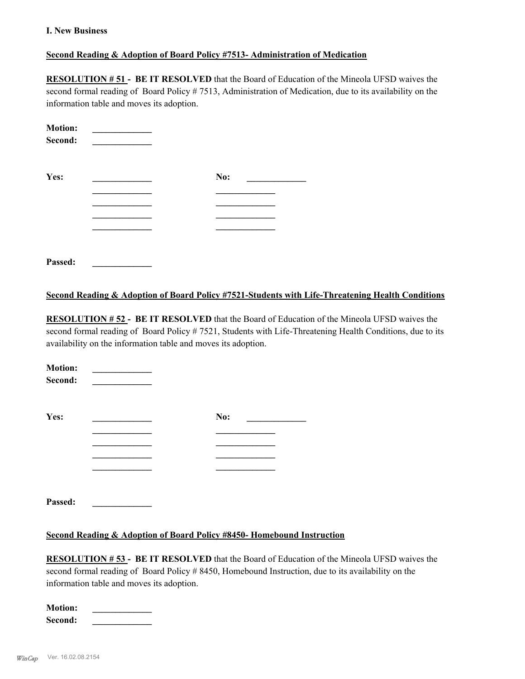#### **I. New Business**

### **Second Reading & Adoption of Board Policy #7513- Administration of Medication**

**RESOLUTION # 51 - BE IT RESOLVED** that the Board of Education of the Mineola UFSD waives the second formal reading of Board Policy # 7513, Administration of Medication, due to its availability on the information table and moves its adoption.

| <b>Motion:</b><br>Second: |     |  |
|---------------------------|-----|--|
| Yes:                      | No: |  |
|                           |     |  |
|                           |     |  |
|                           |     |  |
|                           |     |  |
|                           |     |  |
| Passed:                   |     |  |

#### **Second Reading & Adoption of Board Policy #7521-Students with Life-Threatening Health Conditions**

**RESOLUTION # 52 - BE IT RESOLVED** that the Board of Education of the Mineola UFSD waives the second formal reading of Board Policy # 7521, Students with Life-Threatening Health Conditions, due to its availability on the information table and moves its adoption.

| <b>Motion:</b><br>Second: |     |  |
|---------------------------|-----|--|
| Yes:                      | No: |  |
|                           |     |  |
|                           |     |  |
|                           |     |  |
|                           |     |  |
|                           |     |  |
|                           |     |  |

**Second Reading & Adoption of Board Policy #8450- Homebound Instruction**

**RESOLUTION # 53 - BE IT RESOLVED** that the Board of Education of the Mineola UFSD waives the second formal reading of Board Policy # 8450, Homebound Instruction, due to its availability on the information table and moves its adoption.

| <b>Motion:</b> |  |
|----------------|--|
| Second:        |  |

**Passed: \_\_\_\_\_\_\_\_\_\_\_\_\_**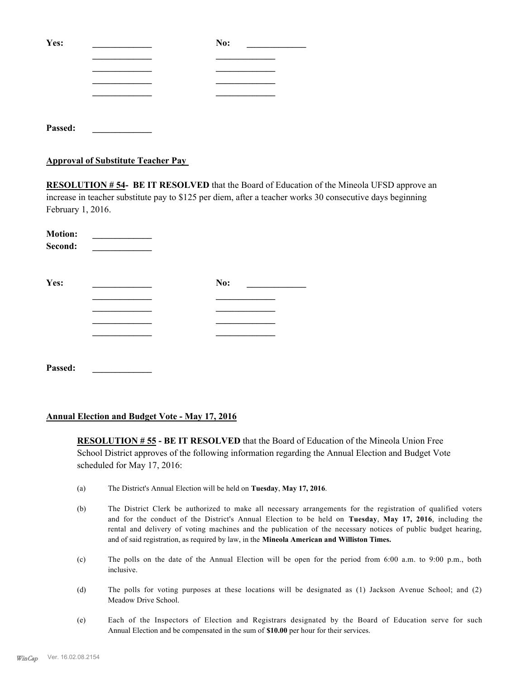| Yes:    | No: |
|---------|-----|
|         |     |
|         |     |
|         |     |
|         |     |
|         |     |
| Passed: |     |

#### **Approval of Substitute Teacher Pay**

**RESOLUTION # 54- BE IT RESOLVED** that the Board of Education of the Mineola UFSD approve an increase in teacher substitute pay to \$125 per diem, after a teacher works 30 consecutive days beginning February 1, 2016.

| <b>Motion:</b><br>Second: |     |  |
|---------------------------|-----|--|
| Yes:                      | No: |  |
|                           |     |  |
|                           |     |  |
|                           |     |  |
|                           |     |  |
|                           |     |  |
| Passed:                   |     |  |

### **Annual Election and Budget Vote - May 17, 2016**

**RESOLUTION # 55 - BE IT RESOLVED** that the Board of Education of the Mineola Union Free School District approves of the following information regarding the Annual Election and Budget Vote scheduled for May 17, 2016:

- (a) The District's Annual Election will be held on **Tuesday**, **May 17, 2016**.
- (b) The District Clerk be authorized to make all necessary arrangements for the registration of qualified voters and for the conduct of the District's Annual Election to be held on **Tuesday**, **May 17, 2016**, including the rental and delivery of voting machines and the publication of the necessary notices of public budget hearing, and of said registration, as required by law, in the **Mineola American and Williston Times.**
- (c) The polls on the date of the Annual Election will be open for the period from 6:00 a.m. to 9:00 p.m., both inclusive.
- (d) The polls for voting purposes at these locations will be designated as (1) Jackson Avenue School; and (2) Meadow Drive School.
- (e) Each of the Inspectors of Election and Registrars designated by the Board of Education serve for such Annual Election and be compensated in the sum of **\$10.00** per hour for their services.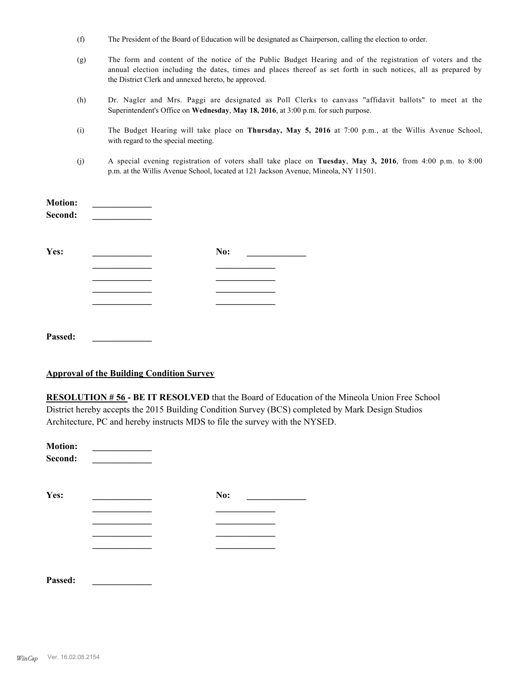- (f) The President of the Board of Education will be designated as Chairperson, calling the election to order.
- (g) The form and content of the notice of the Public Budget Hearing and of the registration of voters and the annual election including the dates, times and places thereof as set forth in such notices, all as prepared by the District Clerk and annexed hereto, be approved.
- (h) Dr. Nagler and Mrs. Paggi are designated as Poll Clerks to canvass "affidavit ballots" to meet at the Superintendent's Office on **Wednesday**, **May 18, 2016**, at 3:00 p.m. for such purpose.
- (i) The Budget Hearing will take place on **Thursday, May 5, 2016** at 7:00 p.m., at the Willis Avenue School, with regard to the special meeting.
- (j) A special evening registration of voters shall take place on **Tuesday**, **May 3, 2016**, from 4:00 p.m. to 8:00 p.m. at the Willis Avenue School, located at 121 Jackson Avenue, Mineola, NY 11501.

| <b>Motion:</b><br>Second: |     |  |
|---------------------------|-----|--|
| Yes:                      | No: |  |
|                           |     |  |
|                           |     |  |
| Passed:                   |     |  |

#### **Approval of the Building Condition Survey**

**RESOLUTION # 56 - BE IT RESOLVED** that the Board of Education of the Mineola Union Free School District hereby accepts the 2015 Building Condition Survey (BCS) completed by Mark Design Studios Architecture, PC and hereby instructs MDS to file the survey with the NYSED.

| <b>Motion:</b><br>Second: |     |  |
|---------------------------|-----|--|
| Yes:                      | No: |  |
|                           |     |  |
|                           |     |  |
|                           |     |  |
|                           |     |  |
|                           |     |  |
|                           |     |  |

**Passed: \_\_\_\_\_\_\_\_\_\_\_\_\_**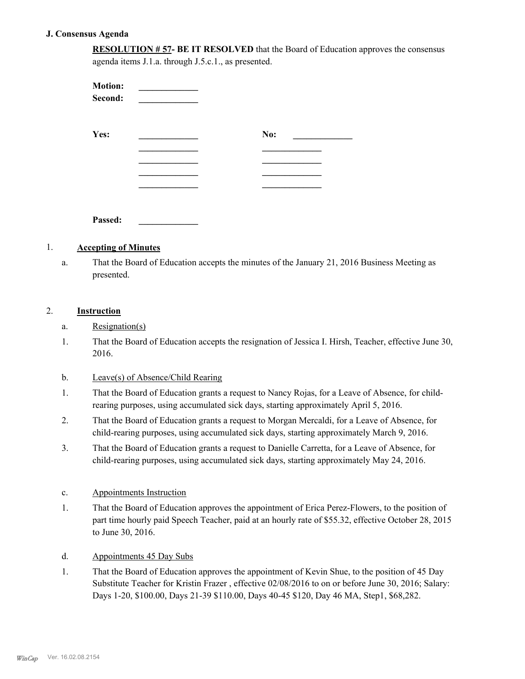#### **J. Consensus Agenda**

**RESOLUTION # 57- BE IT RESOLVED** that the Board of Education approves the consensus agenda items J.1.a. through J.5.c.1., as presented.

| <b>Motion:</b><br>Second: |     |  |
|---------------------------|-----|--|
| Yes:                      | No: |  |
|                           |     |  |
|                           |     |  |
|                           |     |  |
|                           |     |  |
| Passed:                   |     |  |

#### 1. **Accepting of Minutes**

That the Board of Education accepts the minutes of the January 21, 2016 Business Meeting as presented. a.

## 2. **Instruction**

- a. Resignation(s)
- That the Board of Education accepts the resignation of Jessica I. Hirsh, Teacher, effective June 30, 2016. 1.
- b. Leave(s) of Absence/Child Rearing
- That the Board of Education grants a request to Nancy Rojas, for a Leave of Absence, for childrearing purposes, using accumulated sick days, starting approximately April 5, 2016. 1.
- That the Board of Education grants a request to Morgan Mercaldi, for a Leave of Absence, for child-rearing purposes, using accumulated sick days, starting approximately March 9, 2016. 2.
- That the Board of Education grants a request to Danielle Carretta, for a Leave of Absence, for child-rearing purposes, using accumulated sick days, starting approximately May 24, 2016. 3.
- c. Appointments Instruction
- That the Board of Education approves the appointment of Erica Perez-Flowers, to the position of part time hourly paid Speech Teacher, paid at an hourly rate of \$55.32, effective October 28, 2015 to June 30, 2016. 1.
- d. Appointments 45 Day Subs
- That the Board of Education approves the appointment of Kevin Shue, to the position of 45 Day Substitute Teacher for Kristin Frazer , effective 02/08/2016 to on or before June 30, 2016; Salary: Days 1-20, \$100.00, Days 21-39 \$110.00, Days 40-45 \$120, Day 46 MA, Step1, \$68,282. 1.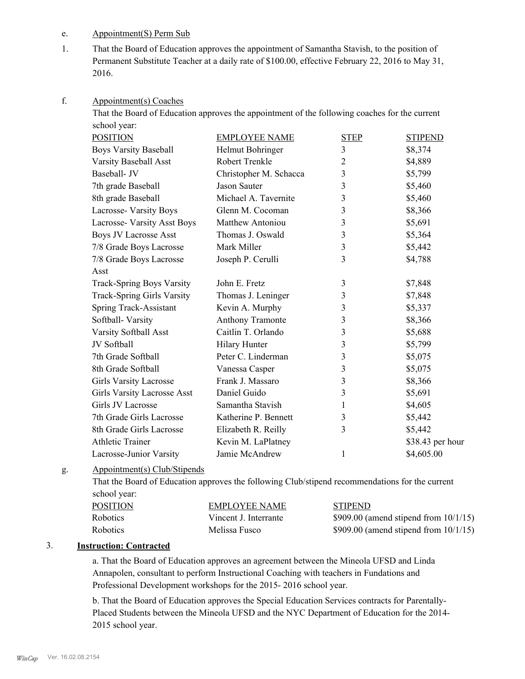### e. Appointment(S) Perm Sub

That the Board of Education approves the appointment of Samantha Stavish, to the position of Permanent Substitute Teacher at a daily rate of \$100.00, effective February 22, 2016 to May 31, 2016. 1.

#### Appointment(s) Coaches f.

That the Board of Education approves the appointment of the following coaches for the current school year:

| <b>POSITION</b>                  | <b>EMPLOYEE NAME</b>   | <b>STEP</b>    | <b>STIPEND</b>   |
|----------------------------------|------------------------|----------------|------------------|
| <b>Boys Varsity Baseball</b>     | Helmut Bohringer       | 3              | \$8,374          |
| Varsity Baseball Asst            | Robert Trenkle         | 2              | \$4,889          |
| Baseball- JV                     | Christopher M. Schacca | 3              | \$5,799          |
| 7th grade Baseball               | Jason Sauter           | 3              | \$5,460          |
| 8th grade Baseball               | Michael A. Tavernite   | 3              | \$5,460          |
| Lacrosse- Varsity Boys           | Glenn M. Cocoman       | 3              | \$8,366          |
| Lacrosse- Varsity Asst Boys      | Matthew Antoniou       | 3              | \$5,691          |
| <b>Boys JV Lacrosse Asst</b>     | Thomas J. Oswald       | $\mathfrak{Z}$ | \$5,364          |
| 7/8 Grade Boys Lacrosse          | Mark Miller            | $\mathfrak{Z}$ | \$5,442          |
| 7/8 Grade Boys Lacrosse          | Joseph P. Cerulli      | 3              | \$4,788          |
| Asst                             |                        |                |                  |
| <b>Track-Spring Boys Varsity</b> | John E. Fretz          | 3              | \$7,848          |
| Track-Spring Girls Varsity       | Thomas J. Leninger     | 3              | \$7,848          |
| Spring Track-Assistant           | Kevin A. Murphy        | 3              | \$5,337          |
| Softball-Varsity                 | Anthony Tramonte       | 3              | \$8,366          |
| Varsity Softball Asst            | Caitlin T. Orlando     | $\mathfrak{Z}$ | \$5,688          |
| JV Softball                      | Hilary Hunter          | 3              | \$5,799          |
| 7th Grade Softball               | Peter C. Linderman     | 3              | \$5,075          |
| 8th Grade Softball               | Vanessa Casper         | 3              | \$5,075          |
| <b>Girls Varsity Lacrosse</b>    | Frank J. Massaro       | 3              | \$8,366          |
| Girls Varsity Lacrosse Asst      | Daniel Guido           | 3              | \$5,691          |
| Girls JV Lacrosse                | Samantha Stavish       | 1              | \$4,605          |
| 7th Grade Girls Lacrosse         | Katherine P. Bennett   | 3              | \$5,442          |
| 8th Grade Girls Lacrosse         | Elizabeth R. Reilly    | 3              | \$5,442          |
| <b>Athletic Trainer</b>          | Kevin M. LaPlatney     |                | \$38.43 per hour |
| Lacrosse-Junior Varsity          | Jamie McAndrew         | 1              | \$4,605.00       |

#### Appointment(s) Club/Stipends g.

That the Board of Education approves the following Club/stipend recommendations for the current school year:

| <b>POSITION</b> | EMPLOYEE NAME         | <b>STIPEND</b>                            |
|-----------------|-----------------------|-------------------------------------------|
| Robotics        | Vincent J. Interrante | $$909.00$ (amend stipend from $10/1/15$ ) |
| Robotics        | Melissa Fusco         | $$909.00$ (amend stipend from $10/1/15$ ) |

### 3. **Instruction: Contracted**

a. That the Board of Education approves an agreement between the Mineola UFSD and Linda Annapolen, consultant to perform Instructional Coaching with teachers in Fundations and Professional Development workshops for the 2015- 2016 school year.

b. That the Board of Education approves the Special Education Services contracts for Parentally-Placed Students between the Mineola UFSD and the NYC Department of Education for the 2014- 2015 school year.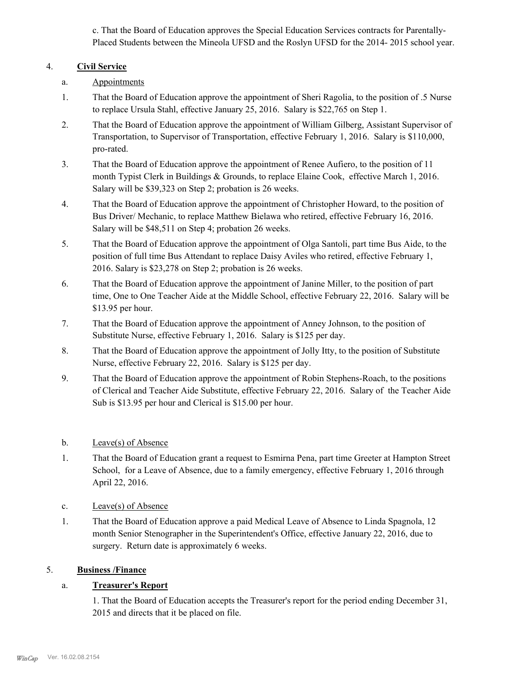c. That the Board of Education approves the Special Education Services contracts for Parentally-Placed Students between the Mineola UFSD and the Roslyn UFSD for the 2014- 2015 school year.

# 4. **Civil Service**

- a. Appointments
- That the Board of Education approve the appointment of Sheri Ragolia, to the position of .5 Nurse to replace Ursula Stahl, effective January 25, 2016. Salary is \$22,765 on Step 1. 1.
- That the Board of Education approve the appointment of William Gilberg, Assistant Supervisor of Transportation, to Supervisor of Transportation, effective February 1, 2016. Salary is \$110,000, pro-rated. 2.
- That the Board of Education approve the appointment of Renee Aufiero, to the position of 11 month Typist Clerk in Buildings & Grounds, to replace Elaine Cook, effective March 1, 2016. Salary will be \$39,323 on Step 2; probation is 26 weeks. 3.
- That the Board of Education approve the appointment of Christopher Howard, to the position of Bus Driver/ Mechanic, to replace Matthew Bielawa who retired, effective February 16, 2016. Salary will be \$48,511 on Step 4; probation 26 weeks. 4.
- That the Board of Education approve the appointment of Olga Santoli, part time Bus Aide, to the position of full time Bus Attendant to replace Daisy Aviles who retired, effective February 1, 2016. Salary is \$23,278 on Step 2; probation is 26 weeks. 5.
- That the Board of Education approve the appointment of Janine Miller, to the position of part time, One to One Teacher Aide at the Middle School, effective February 22, 2016. Salary will be \$13.95 per hour. 6.
- That the Board of Education approve the appointment of Anney Johnson, to the position of Substitute Nurse, effective February 1, 2016. Salary is \$125 per day. 7.
- That the Board of Education approve the appointment of Jolly Itty, to the position of Substitute Nurse, effective February 22, 2016. Salary is \$125 per day. 8.
- That the Board of Education approve the appointment of Robin Stephens-Roach, to the positions of Clerical and Teacher Aide Substitute, effective February 22, 2016. Salary of the Teacher Aide Sub is \$13.95 per hour and Clerical is \$15.00 per hour. 9.
- b. Leave(s) of Absence
- That the Board of Education grant a request to Esmirna Pena, part time Greeter at Hampton Street School, for a Leave of Absence, due to a family emergency, effective February 1, 2016 through April 22, 2016. 1.
- c. Leave(s) of Absence
- That the Board of Education approve a paid Medical Leave of Absence to Linda Spagnola, 12 month Senior Stenographer in the Superintendent's Office, effective January 22, 2016, due to surgery. Return date is approximately 6 weeks. 1.

# 5. **Business /Finance**

# a. **Treasurer's Report**

1. That the Board of Education accepts the Treasurer's report for the period ending December 31, 2015 and directs that it be placed on file.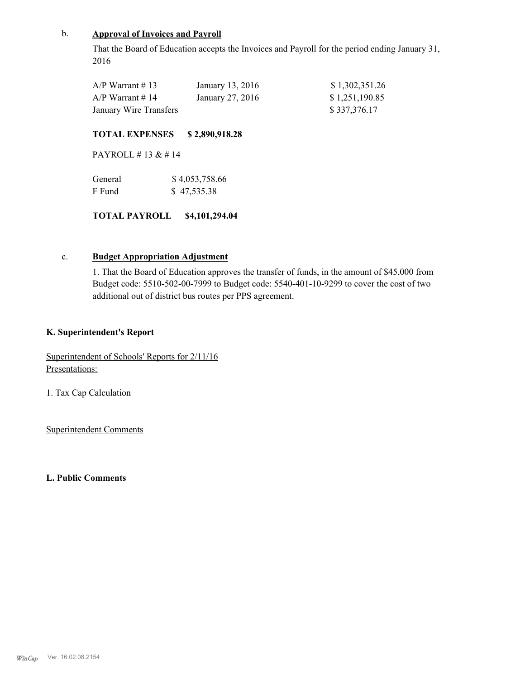# b. **Approval of Invoices and Payroll**

That the Board of Education accepts the Invoices and Payroll for the period ending January 31, 2016

| $A/P$ Warrant # 13     | January 13, 2016 | \$1,302,351.26 |
|------------------------|------------------|----------------|
| $A/P$ Warrant # 14     | January 27, 2016 | \$1,251,190.85 |
| January Wire Transfers |                  | \$337,376.17   |

#### **TOTAL EXPENSES \$ 2,890,918.28**

PAYROLL # 13 & # 14

| General | \$4,053,758.66 |
|---------|----------------|
| F Fund  | \$47,535.38    |

#### **TOTAL PAYROLL \$4,101,294.04**

## c. **Budget Appropriation Adjustment**

1. That the Board of Education approves the transfer of funds, in the amount of \$45,000 from Budget code: 5510-502-00-7999 to Budget code: 5540-401-10-9299 to cover the cost of two additional out of district bus routes per PPS agreement.

#### **K. Superintendent's Report**

Superintendent of Schools' Reports for 2/11/16 Presentations:

1. Tax Cap Calculation

Superintendent Comments

**L. Public Comments**